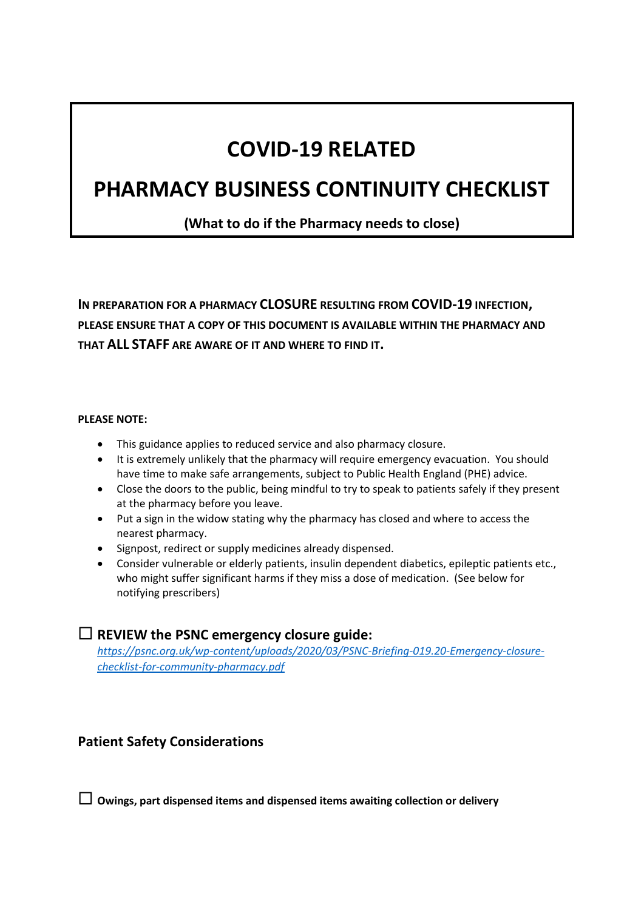# **COVID-19 RELATED**

# **PHARMACY BUSINESS CONTINUITY CHECKLIST**

**(What to do if the Pharmacy needs to close)**

**IN PREPARATION FOR A PHARMACY CLOSURE RESULTING FROM COVID-19 INFECTION, PLEASE ENSURE THAT A COPY OF THIS DOCUMENT IS AVAILABLE WITHIN THE PHARMACY AND THAT ALL STAFF ARE AWARE OF IT AND WHERE TO FIND IT.**

#### **PLEASE NOTE:**

- This guidance applies to reduced service and also pharmacy closure.
- It is extremely unlikely that the pharmacy will require emergency evacuation. You should have time to make safe arrangements, subject to Public Health England (PHE) advice.
- Close the doors to the public, being mindful to try to speak to patients safely if they present at the pharmacy before you leave.
- Put a sign in the widow stating why the pharmacy has closed and where to access the nearest pharmacy.
- Signpost, redirect or supply medicines already dispensed.
- Consider vulnerable or elderly patients, insulin dependent diabetics, epileptic patients etc., who might suffer significant harms if they miss a dose of medication. (See below for notifying prescribers)

### **REVIEW the PSNC emergency closure guide:**

*[https://psnc.org.uk/wp-content/uploads/2020/03/PSNC-Briefing-019.20-Emergency-closure](https://psnc.org.uk/wp-content/uploads/2020/03/PSNC-Briefing-019.20-Emergency-closure-checklist-for-community-pharmacy.pdf)[checklist-for-community-pharmacy.pdf](https://psnc.org.uk/wp-content/uploads/2020/03/PSNC-Briefing-019.20-Emergency-closure-checklist-for-community-pharmacy.pdf)*

# **Patient Safety Considerations**

**Owings, part dispensed items and dispensed items awaiting collection or delivery**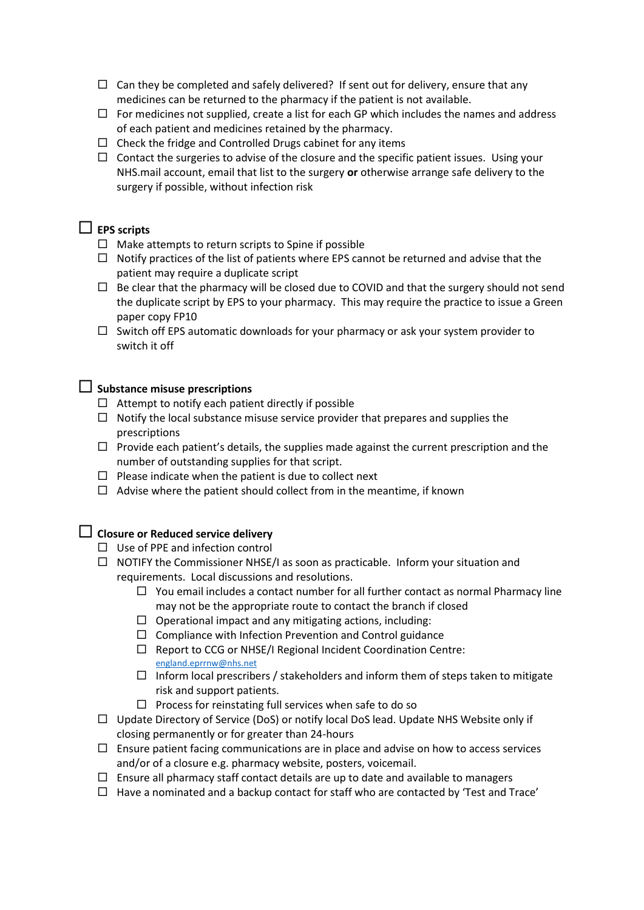- $\Box$  Can they be completed and safely delivered? If sent out for delivery, ensure that any medicines can be returned to the pharmacy if the patient is not available.
- $\Box$  For medicines not supplied, create a list for each GP which includes the names and address of each patient and medicines retained by the pharmacy.
- $\Box$  Check the fridge and Controlled Drugs cabinet for any items
- $\Box$  Contact the surgeries to advise of the closure and the specific patient issues. Using your NHS.mail account, email that list to the surgery **or** otherwise arrange safe delivery to the surgery if possible, without infection risk

# **EPS scripts**

- $\Box$  Make attempts to return scripts to Spine if possible
- $\Box$  Notify practices of the list of patients where EPS cannot be returned and advise that the patient may require a duplicate script
- $\Box$  Be clear that the pharmacy will be closed due to COVID and that the surgery should not send the duplicate script by EPS to your pharmacy. This may require the practice to issue a Green paper copy FP10
- $\Box$  Switch off EPS automatic downloads for your pharmacy or ask your system provider to switch it off

#### **Substance misuse prescriptions**

- $\Box$  Attempt to notify each patient directly if possible
- $\Box$  Notify the local substance misuse service provider that prepares and supplies the prescriptions
- $\Box$  Provide each patient's details, the supplies made against the current prescription and the number of outstanding supplies for that script.
- $\Box$  Please indicate when the patient is due to collect next
- $\Box$  Advise where the patient should collect from in the meantime, if known

## **Closure or Reduced service delivery**

- $\Box$  Use of PPE and infection control
- $\Box$  NOTIFY the Commissioner NHSE/I as soon as practicable. Inform your situation and requirements. Local discussions and resolutions.
	- $\Box$  You email includes a contact number for all further contact as normal Pharmacy line may not be the appropriate route to contact the branch if closed
	- $\Box$  Operational impact and any mitigating actions, including:
	- $\Box$  Compliance with Infection Prevention and Control guidance
	- $\Box$  Report to CCG or NHSE/I Regional Incident Coordination Centre: [england.eprrnw@nhs.net](mailto:england.eprrnw@nhs.net)
	- $\Box$  Inform local prescribers / stakeholders and inform them of steps taken to mitigate risk and support patients.
	- $\Box$  Process for reinstating full services when safe to do so
- $\Box$  Update Directory of Service (DoS) or notify local DoS lead. Update NHS Website only if closing permanently or for greater than 24-hours
- $\Box$  Ensure patient facing communications are in place and advise on how to access services and/or of a closure e.g. pharmacy website, posters, voicemail.
- $\Box$  Ensure all pharmacy staff contact details are up to date and available to managers
- $\Box$  Have a nominated and a backup contact for staff who are contacted by 'Test and Trace'